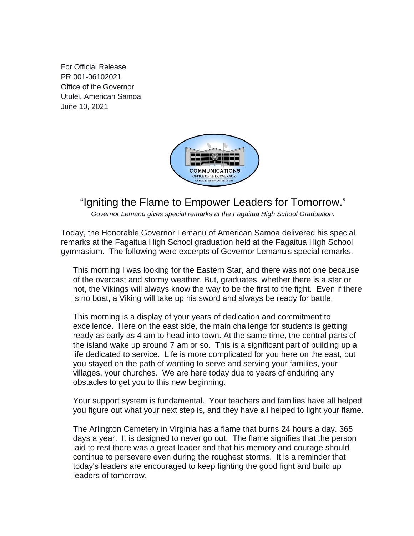For Official Release PR 001-06102021 Office of the Governor Utulei, American Samoa June 10, 2021



## "Igniting the Flame to Empower Leaders for Tomorrow."

*Governor Lemanu gives special remarks at the Fagaitua High School Graduation.*

Today, the Honorable Governor Lemanu of American Samoa delivered his special remarks at the Fagaitua High School graduation held at the Fagaitua High School gymnasium. The following were excerpts of Governor Lemanu's special remarks.

This morning I was looking for the Eastern Star, and there was not one because of the overcast and stormy weather. But, graduates, whether there is a star or not, the Vikings will always know the way to be the first to the fight. Even if there is no boat, a Viking will take up his sword and always be ready for battle.

This morning is a display of your years of dedication and commitment to excellence. Here on the east side, the main challenge for students is getting ready as early as 4 am to head into town. At the same time, the central parts of the island wake up around 7 am or so. This is a significant part of building up a life dedicated to service. Life is more complicated for you here on the east, but you stayed on the path of wanting to serve and serving your families, your villages, your churches. We are here today due to years of enduring any obstacles to get you to this new beginning.

Your support system is fundamental. Your teachers and families have all helped you figure out what your next step is, and they have all helped to light your flame.

The Arlington Cemetery in Virginia has a flame that burns 24 hours a day. 365 days a year. It is designed to never go out. The flame signifies that the person laid to rest there was a great leader and that his memory and courage should continue to persevere even during the roughest storms. It is a reminder that today's leaders are encouraged to keep fighting the good fight and build up leaders of tomorrow.